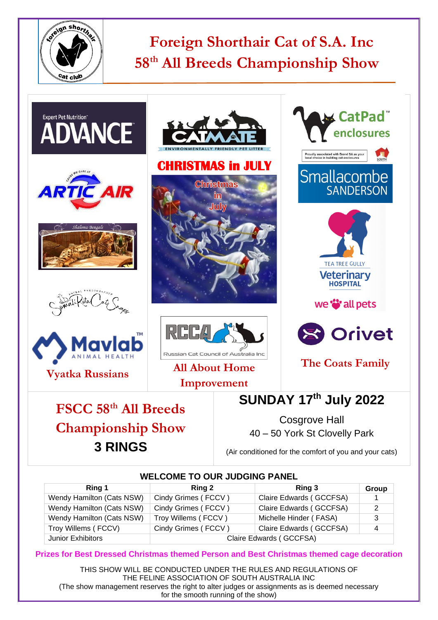

# **Foreign Shorthair Cat of S.A. Inc 58 th All Breeds Championship Show**



#### **WELCOME TO OUR JUDGING PANEL**

| Ring 1                    | Ring 2                  | Ring 3                  | Group |
|---------------------------|-------------------------|-------------------------|-------|
| Wendy Hamilton (Cats NSW) | Cindy Grimes (FCCV)     | Claire Edwards (GCCFSA) |       |
| Wendy Hamilton (Cats NSW) | Cindy Grimes (FCCV)     | Claire Edwards (GCCFSA) |       |
| Wendy Hamilton (Cats NSW) | Troy Willems (FCCV)     | Michelle Hinder (FASA)  | 3     |
| Troy Willems (FCCV)       | Cindy Grimes (FCCV)     | Claire Edwards (GCCFSA) | 4     |
| Junior Exhibitors         | Claire Edwards (GCCFSA) |                         |       |

**Prizes for Best Dressed Christmas themed Person and Best Christmas themed cage decoration** 

THIS SHOW WILL BE CONDUCTED UNDER THE RULES AND REGULATIONS OF THE FELINE ASSOCIATION OF SOUTH AUSTRALIA INC (The show management reserves the right to alter judges or assignments as is deemed necessary for the smooth running of the show)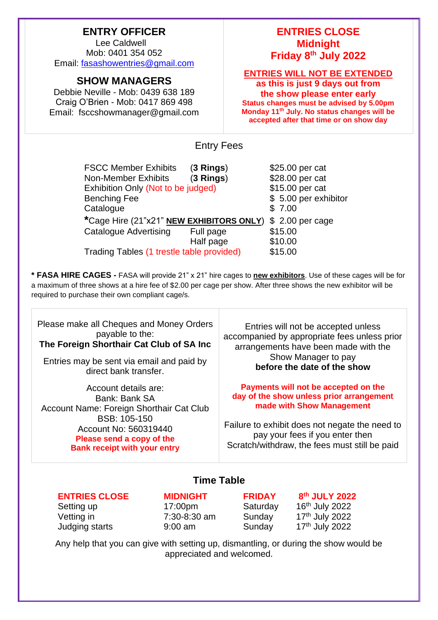## **ENTRY OFFICER**

Lee Caldwell Mob: 0401 354 052 Email: [fasashowentries@gmail.com](mailto:fasashowentries@gmail.com)

## **SHOW MANAGERS**

Debbie Neville - Mob: 0439 638 189 Craig O'Brien - Mob: 0417 869 498 Email: fsccshowmanager@gmail.com

## **ENTRIES CLOSE Midnight Friday 8 th July 2022**

**ENTRIES WILL NOT BE EXTENDED**

**as this is just 9 days out from the show please enter early Status changes must be advised by 5.00pm Monday 11th July. No status changes will be accepted after that time or on show day**

Entry Fees

| <b>FSCC Member Exhibits</b>               | $(3$ Rings) | \$25.00 per cat      |
|-------------------------------------------|-------------|----------------------|
| <b>Non-Member Exhibits</b>                | $(3$ Rings) | \$28.00 per cat      |
| Exhibition Only (Not to be judged)        |             | \$15.00 per cat      |
| <b>Benching Fee</b>                       |             | \$5.00 per exhibitor |
| Catalogue                                 |             | \$7.00               |
| *Cage Hire (21"x21" NEW EXHIBITORS ONLY)  |             | $$2.00$ per cage     |
| <b>Catalogue Advertising</b>              | Full page   | \$15.00              |
|                                           | Half page   | \$10.00              |
| Trading Tables (1 trestle table provided) |             | \$15.00              |

**\* FASA HIRE CAGES -** FASA will provide 21" x 21" hire cages to **new exhibitors**. Use of these cages will be for a maximum of three shows at a hire fee of \$2.00 per cage per show. After three shows the new exhibitor will be required to purchase their own compliant cage/s.

Please make all Cheques and Money Orders payable to the: **The Foreign Shorthair Cat Club of SA Inc**

Entries may be sent via email and paid by direct bank transfer.

Account details are: Bank: Bank SA Account Name: Foreign Shorthair Cat Club BSB: 105-150 Account No: 560319440 **Please send a copy of the Bank receipt with your entry**

Entries will not be accepted unless accompanied by appropriate fees unless prior arrangements have been made with the Show Manager to pay **before the date of the show**

#### **Payments will not be accepted on the day of the show unless prior arrangement made with Show Management**

Failure to exhibit does not negate the need to pay your fees if you enter then Scratch/withdraw, the fees must still be paid

## **Time Table**

### **ENTRIES CLOSE MIDNIGHT FRIDAY 8**

Setting up 17:00pm Saturday Judging starts 9:00 am Sunday

**th JULY 2022**  $16<sup>th</sup>$  July 2022 Vetting in  $7:30-8:30$  am  $5$ unday  $17<sup>th</sup>$  July 2022

17th July 2022

Any help that you can give with setting up, dismantling, or during the show would be appreciated and welcomed.